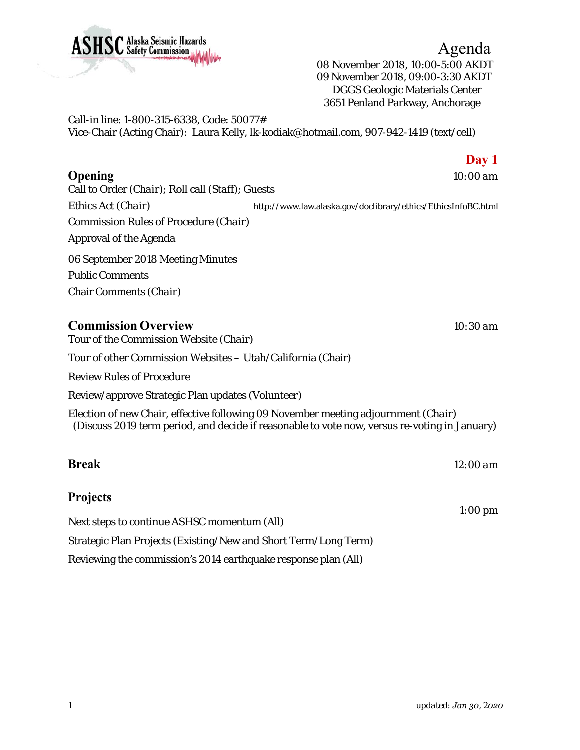08 November 2018, 10:00-5:00 AKDT 09 November 2018, 09:00-3:30 AKDT DGGS Geologic Materials Center 3651 Penland Parkway, Anchorage

Call-in line: 1-800-315-6338, Code: 50077# Vice-Chair (Acting Chair): Laura Kelly, lk-kodiak@hotmail.com, 907-942-1419 (text/cell)

## **Opening** *10:00 am*

Call to Order (*Chair*); Roll call (*Staff*); Guests Ethics Act (*Chair*) http://www.law.alaska.gov/doclibrary/ethics/EthicsInfoBC.html Commission Rules of Procedure (*Chair*) Approval of the Agenda 06 September 2018 Meeting Minutes Public Comments Chair Comments (*Chair*)

## **Commission Overview** *10:30 am*

Tour of the Commission Website (*Chair*)

Tour of other Commission Websites – Utah/California (Chair)

Review Rules of Procedure

Review/approve Strategic Plan updates (*Volunteer*)

Election of new Chair, effective following 09 November meeting adjournment (*Chair*) (Discuss 2019 term period, and decide if reasonable to vote now, versus re-voting in January)

| <b>Break</b> | $12:00$ am |
|--------------|------------|
|              |            |

## **Projects**

Next steps to continue ASHSC momentum (*All*)

Strategic Plan Projects (Existing/New and Short Term/Long Term)

Reviewing the commission's 2014 earthquake response plan (*All*)



**Day 1**

*1:00 pm*

Agenda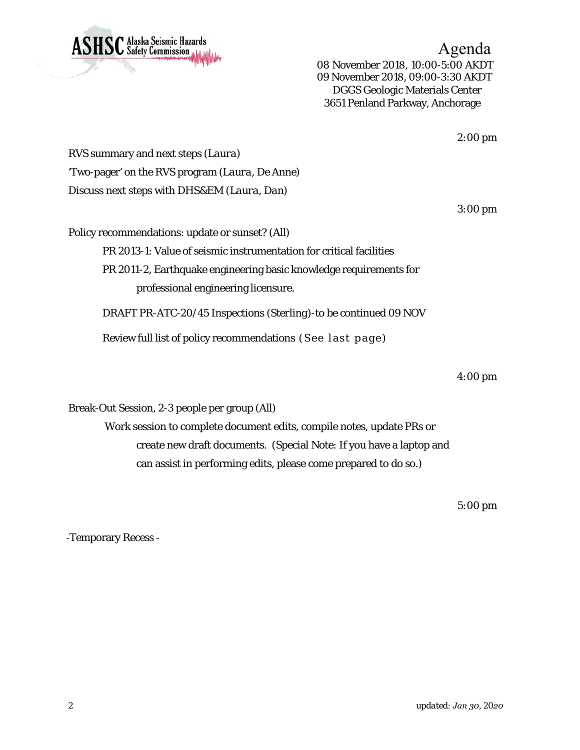

Agenda 08 November 2018, 10:00-5:00 AKDT 09 November 2018, 09:00-3:30 AKDT DGGS Geologic Materials Center 3651 Penland Parkway, Anchorage

*2:00 pm*

RVS summary and next steps (*Laura*) 'Two-pager' on the RVS program (*Laura, De Anne*) Discuss next steps with DHS&EM (*Laura, Dan)* 

*3:00 pm*

Policy recommendations: update or sunset? (*All*) PR 2013-1: Value of seismic instrumentation for critical facilities PR 2011-2, Earthquake engineering basic knowledge requirements for professional engineering licensure.

DRAFT PR-ATC-20/45 Inspections (*Sterling*)-to be continued 09 NOV

Review full list of policy recommendations (See last page)

*4:00 pm*

Break-Out Session, 2-3 people per group (*All*)

Work session to complete document edits, compile notes, update PRs or create new draft documents. (Special Note: If you have a laptop and can assist in performing edits, please come prepared to do so.)

*5:00 pm*

‐Temporary Recess -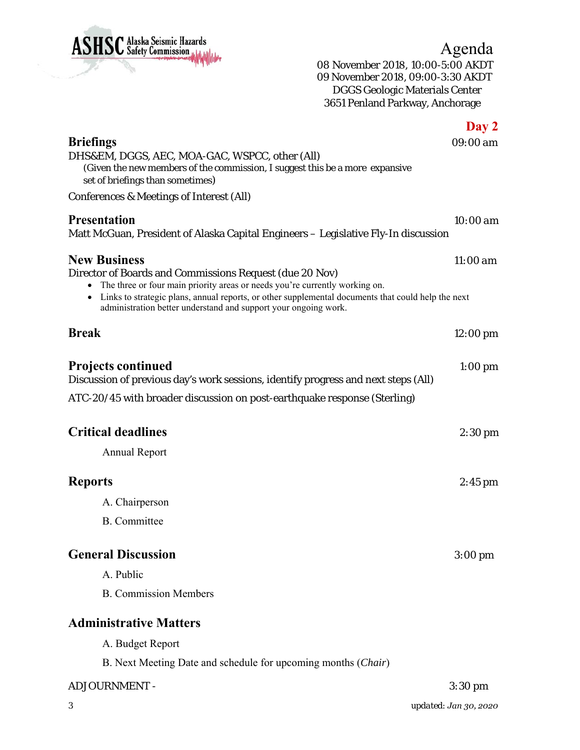